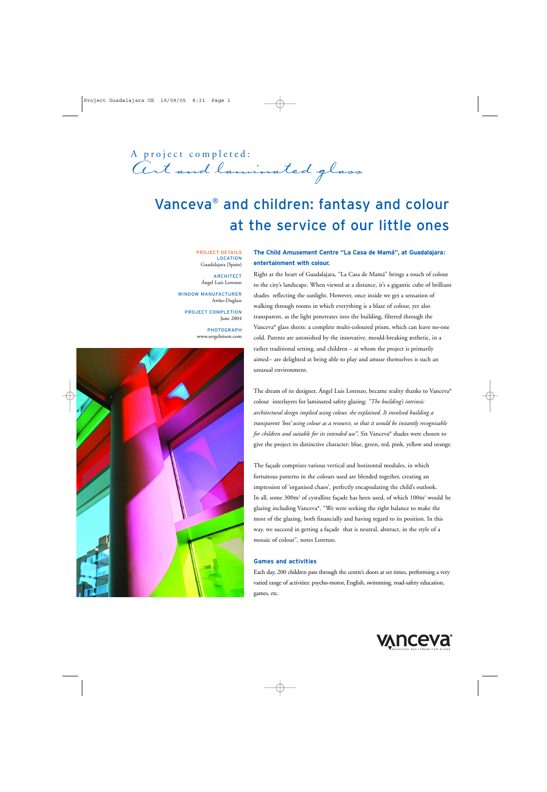A project completed: Aproject completta.

## Vanceva® and children: fantasy and colour at the service of our little ones

PROJECT DETAILS **LOCATION** Guadalajara (Spain)

ARCHITECT Ángel Luis Lorenzo

WINDOW MANUFACTURER Ariño-Duglass

PROJECT COMPLETION June 2004

> PHOTOGRAPH www.sergebrison.com



## **The Child Amusement Centre "La Casa de Mamá", at Guadalajara: entertainment with colour.**

Right at the heart of Guadalajara, "La Casa de Mamá" brings a touch of colour to the city's landscape. When viewed at a distance, it's a gigantic cube of brilliant shades reflecting the sunlight. However, once inside we get a sensation of walking through rooms in which everything is a blaze of colour, yet also transparent, as the light penetrates into the building, filtered through the Vanceva® glass sheets: a complete multi-coloured prism, which can leave no-one cold. Parents are astonished by the innovative, mould-breaking æsthetic, in a rather traditional setting, and children – at whom the project is primarily aimed– are delighted at being able to play and amuse themselves is such an unusual environment.

The dream of its designer, Ángel Luis Lorenzo, became reality thanks to Vanceva® colour interlayers for laminated safety glazing: *"The building's intrinsic architectural design implied using colour, she explained. It involved building a transparent 'box' using colour as a resource, so that it would be instantly recognisable for children and suitable for its intended use"*. Six Vanceva® shades were chosen to give the project its distinctive character: blue, green, red, pink, yellow and orange.

The façade comprises various vertical and horizontal modules, in which fortuitous patterns in the colours used are blended together, creating an impression of 'organised chaos', perfectly encapsulating the child's outlook. In all, some 300m<sup>2</sup> of cystalline façade has been used, of which 100m<sup>2</sup> would be glazing including Vanceva®. "We were seeking the right balance to make the most of the glazing, both financially and having regard to its position. In this way, we succeed in getting a façade that is neutral, abstract, in the style of a mosaic of colour", notes Lorenzo.

## **Games and activities**

Each day, 200 children pass through the centre's doors at set times, performing a very varied range of activities: psycho-motor, English, swimming, road-safety education, games, etc.